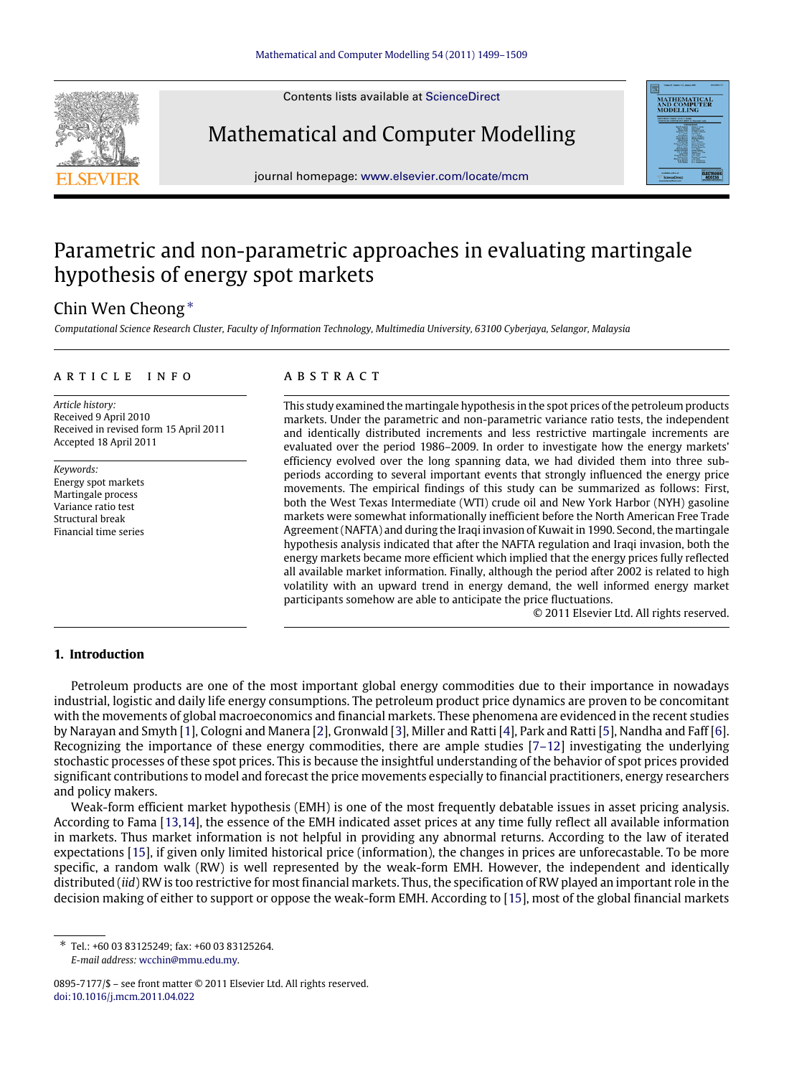Contents lists available at [ScienceDirect](http://www.elsevier.com/locate/mcm)



Mathematical and Computer Modelling

journal homepage: [www.elsevier.com/locate/mcm](http://www.elsevier.com/locate/mcm)

## Parametric and non-parametric approaches in evaluating martingale hypothesis of energy spot markets

### Chin Wen Cheong [∗](#page-0-0)

*Computational Science Research Cluster, Faculty of Information Technology, Multimedia University, 63100 Cyberjaya, Selangor, Malaysia*

#### ARTICLE INFO

*Article history:* Received 9 April 2010 Received in revised form 15 April 2011 Accepted 18 April 2011

*Keywords:* Energy spot markets Martingale process Variance ratio test Structural break Financial time series

### a b s t r a c t

This study examined the martingale hypothesis in the spot prices of the petroleum products markets. Under the parametric and non-parametric variance ratio tests, the independent and identically distributed increments and less restrictive martingale increments are evaluated over the period 1986–2009. In order to investigate how the energy markets' efficiency evolved over the long spanning data, we had divided them into three subperiods according to several important events that strongly influenced the energy price movements. The empirical findings of this study can be summarized as follows: First, both the West Texas Intermediate (WTI) crude oil and New York Harbor (NYH) gasoline markets were somewhat informationally inefficient before the North American Free Trade Agreement (NAFTA) and during the Iraqi invasion of Kuwait in 1990. Second, the martingale hypothesis analysis indicated that after the NAFTA regulation and Iraqi invasion, both the energy markets became more efficient which implied that the energy prices fully reflected all available market information. Finally, although the period after 2002 is related to high volatility with an upward trend in energy demand, the well informed energy market participants somehow are able to anticipate the price fluctuations.

© 2011 Elsevier Ltd. All rights reserved.

#### **1. Introduction**

Petroleum products are one of the most important global energy commodities due to their importance in nowadays industrial, logistic and daily life energy consumptions. The petroleum product price dynamics are proven to be concomitant with the movements of global macroeconomics and financial markets. These phenomena are evidenced in the recent studies by Narayan and Smyth [\[1\]](#page--1-0), Cologni and Manera [\[2\]](#page--1-1), Gronwald [\[3\]](#page--1-2), Miller and Ratti [\[4\]](#page--1-3), Park and Ratti [\[5\]](#page--1-4), Nandha and Faff [\[6\]](#page--1-5). Recognizing the importance of these energy commodities, there are ample studies  $[7-12]$  investigating the underlying stochastic processes of these spot prices. This is because the insightful understanding of the behavior of spot prices provided significant contributions to model and forecast the price movements especially to financial practitioners, energy researchers and policy makers.

Weak-form efficient market hypothesis (EMH) is one of the most frequently debatable issues in asset pricing analysis. According to Fama [\[13](#page--1-7)[,14\]](#page--1-8), the essence of the EMH indicated asset prices at any time fully reflect all available information in markets. Thus market information is not helpful in providing any abnormal returns. According to the law of iterated expectations [\[15\]](#page--1-9), if given only limited historical price (information), the changes in prices are unforecastable. To be more specific, a random walk (RW) is well represented by the weak-form EMH. However, the independent and identically distributed (*iid*) RW is too restrictive for most financial markets. Thus, the specification of RW played an important role in the decision making of either to support or oppose the weak-form EMH. According to [\[15\]](#page--1-9), most of the global financial markets

<span id="page-0-0"></span>∗ Tel.: +60 03 83125249; fax: +60 03 83125264. *E-mail address:* [wcchin@mmu.edu.my.](mailto:wcchin@mmu.edu.my)

<sup>0895-7177/\$ –</sup> see front matter © 2011 Elsevier Ltd. All rights reserved. [doi:10.1016/j.mcm.2011.04.022](http://dx.doi.org/10.1016/j.mcm.2011.04.022)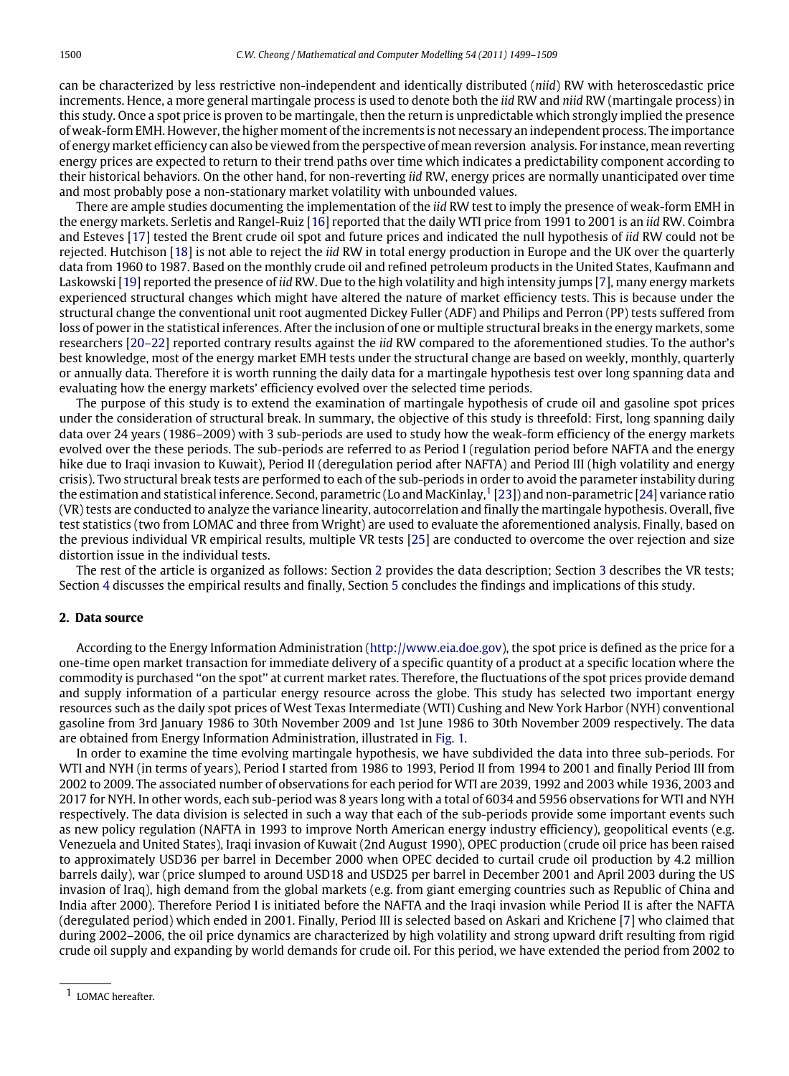can be characterized by less restrictive non-independent and identically distributed (*niid*) RW with heteroscedastic price increments. Hence, a more general martingale process is used to denote both the *iid* RW and *niid* RW (martingale process) in this study. Once a spot price is proven to be martingale, then the return is unpredictable which strongly implied the presence of weak-form EMH. However, the higher moment of the increments is not necessary an independent process. The importance of energy market efficiency can also be viewed from the perspective of mean reversion analysis. For instance, mean reverting energy prices are expected to return to their trend paths over time which indicates a predictability component according to their historical behaviors. On the other hand, for non-reverting *iid* RW, energy prices are normally unanticipated over time and most probably pose a non-stationary market volatility with unbounded values.

There are ample studies documenting the implementation of the *iid* RW test to imply the presence of weak-form EMH in the energy markets. Serletis and Rangel-Ruiz [\[16\]](#page--1-10) reported that the daily WTI price from 1991 to 2001 is an *iid* RW. Coimbra and Esteves [\[17\]](#page--1-11) tested the Brent crude oil spot and future prices and indicated the null hypothesis of *iid* RW could not be rejected. Hutchison [\[18\]](#page--1-12) is not able to reject the *iid* RW in total energy production in Europe and the UK over the quarterly data from 1960 to 1987. Based on the monthly crude oil and refined petroleum products in the United States, Kaufmann and Laskowski [\[19\]](#page--1-13) reported the presence of *iid* RW. Due to the high volatility and high intensity jumps [\[7\]](#page--1-6), many energy markets experienced structural changes which might have altered the nature of market efficiency tests. This is because under the structural change the conventional unit root augmented Dickey Fuller (ADF) and Philips and Perron (PP) tests suffered from loss of power in the statistical inferences. After the inclusion of one or multiple structural breaks in the energy markets, some researchers [\[20–22\]](#page--1-14) reported contrary results against the *iid* RW compared to the aforementioned studies. To the author's best knowledge, most of the energy market EMH tests under the structural change are based on weekly, monthly, quarterly or annually data. Therefore it is worth running the daily data for a martingale hypothesis test over long spanning data and evaluating how the energy markets' efficiency evolved over the selected time periods.

The purpose of this study is to extend the examination of martingale hypothesis of crude oil and gasoline spot prices under the consideration of structural break. In summary, the objective of this study is threefold: First, long spanning daily data over 24 years (1986–2009) with 3 sub-periods are used to study how the weak-form efficiency of the energy markets evolved over the these periods. The sub-periods are referred to as Period I (regulation period before NAFTA and the energy hike due to Iraqi invasion to Kuwait), Period II (deregulation period after NAFTA) and Period III (high volatility and energy crisis). Two structural break tests are performed to each of the sub-periods in order to avoid the parameter instability during the estimation and statistical inference. Second, parametric (Lo and MacKinlay,  $1$  [\[23\]](#page--1-15)) and non-parametric [\[24\]](#page--1-16) variance ratio (VR) tests are conducted to analyze the variance linearity, autocorrelation and finally the martingale hypothesis. Overall, five test statistics (two from LOMAC and three from Wright) are used to evaluate the aforementioned analysis. Finally, based on the previous individual VR empirical results, multiple VR tests [\[25\]](#page--1-17) are conducted to overcome the over rejection and size distortion issue in the individual tests.

The rest of the article is organized as follows: Section [2](#page-1-1) provides the data description; Section [3](#page--1-18) describes the VR tests; Section [4](#page--1-19) discusses the empirical results and finally, Section [5](#page--1-20) concludes the findings and implications of this study.

#### <span id="page-1-1"></span>**2. Data source**

According to the Energy Information Administration [\(http://www.eia.doe.gov\)](http://www.eia.doe.gov), the spot price is defined as the price for a one-time open market transaction for immediate delivery of a specific quantity of a product at a specific location where the commodity is purchased ''on the spot'' at current market rates. Therefore, the fluctuations of the spot prices provide demand and supply information of a particular energy resource across the globe. This study has selected two important energy resources such as the daily spot prices of West Texas Intermediate (WTI) Cushing and New York Harbor (NYH) conventional gasoline from 3rd January 1986 to 30th November 2009 and 1st June 1986 to 30th November 2009 respectively. The data are obtained from Energy Information Administration, illustrated in [Fig. 1.](#page--1-21)

In order to examine the time evolving martingale hypothesis, we have subdivided the data into three sub-periods. For WTI and NYH (in terms of years), Period I started from 1986 to 1993, Period II from 1994 to 2001 and finally Period III from 2002 to 2009. The associated number of observations for each period for WTI are 2039, 1992 and 2003 while 1936, 2003 and 2017 for NYH. In other words, each sub-period was 8 years long with a total of 6034 and 5956 observations for WTI and NYH respectively. The data division is selected in such a way that each of the sub-periods provide some important events such as new policy regulation (NAFTA in 1993 to improve North American energy industry efficiency), geopolitical events (e.g. Venezuela and United States), Iraqi invasion of Kuwait (2nd August 1990), OPEC production (crude oil price has been raised to approximately USD36 per barrel in December 2000 when OPEC decided to curtail crude oil production by 4.2 million barrels daily), war (price slumped to around USD18 and USD25 per barrel in December 2001 and April 2003 during the US invasion of Iraq), high demand from the global markets (e.g. from giant emerging countries such as Republic of China and India after 2000). Therefore Period I is initiated before the NAFTA and the Iraqi invasion while Period II is after the NAFTA (deregulated period) which ended in 2001. Finally, Period III is selected based on Askari and Krichene [\[7\]](#page--1-6) who claimed that during 2002–2006, the oil price dynamics are characterized by high volatility and strong upward drift resulting from rigid crude oil supply and expanding by world demands for crude oil. For this period, we have extended the period from 2002 to

<span id="page-1-0"></span><sup>1</sup> LOMAC hereafter.